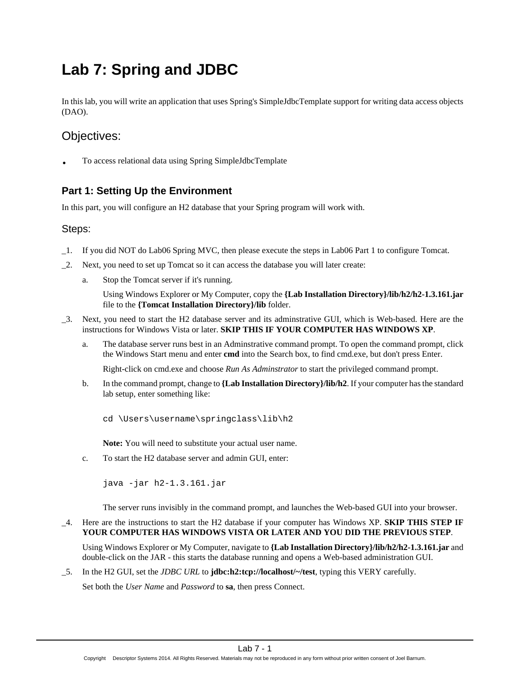# **Lab 7: Spring and JDBC**

In this lab, you will write an application that uses Spring's SimpleJdbcTemplate support for writing data access objects (DAO).

## Objectives:

• To access relational data using Spring SimpleJdbcTemplate

## **Part 1: Setting Up the Environment**

In this part, you will configure an H2 database that your Spring program will work with.

#### Steps:

- \_1. If you did NOT do Lab06 Spring MVC, then please execute the steps in Lab06 Part 1 to configure Tomcat.
- \_2. Next, you need to set up Tomcat so it can access the database you will later create:
	- a. Stop the Tomcat server if it's running.

Using Windows Explorer or My Computer, copy the **{Lab Installation Directory}/lib/h2/h2-1.3.161.jar** file to the **{Tomcat Installation Directory}/lib** folder.

- \_3. Next, you need to start the H2 database server and its adminstrative GUI, which is Web-based. Here are the instructions for Windows Vista or later. **SKIP THIS IF YOUR COMPUTER HAS WINDOWS XP**.
	- a. The database server runs best in an Adminstrative command prompt. To open the command prompt, click the Windows Start menu and enter **cmd** into the Search box, to find cmd.exe, but don't press Enter.

Right-click on cmd.exe and choose *Run As Adminstrator* to start the privileged command prompt.

b. In the command prompt, change to **{Lab Installation Directory}/lib/h2**. If your computer has the standard lab setup, enter something like:

cd \Users\username\springclass\lib\h2

**Note:** You will need to substitute your actual user name.

c. To start the H2 database server and admin GUI, enter:

java -jar h2-1.3.161.jar

The server runs invisibly in the command prompt, and launches the Web-based GUI into your browser.

\_4. Here are the instructions to start the H2 database if your computer has Windows XP. **SKIP THIS STEP IF YOUR COMPUTER HAS WINDOWS VISTA OR LATER AND YOU DID THE PREVIOUS STEP**.

Using Windows Explorer or My Computer, navigate to **{Lab Installation Directory}/lib/h2/h2-1.3.161.jar** and double-click on the JAR - this starts the database running and opens a Web-based administration GUI.

\_5. In the H2 GUI, set the *JDBC URL* to **jdbc:h2:tcp://localhost/~/test**, typing this VERY carefully.

Set both the *User Name* and *Password* to **sa**, then press Connect.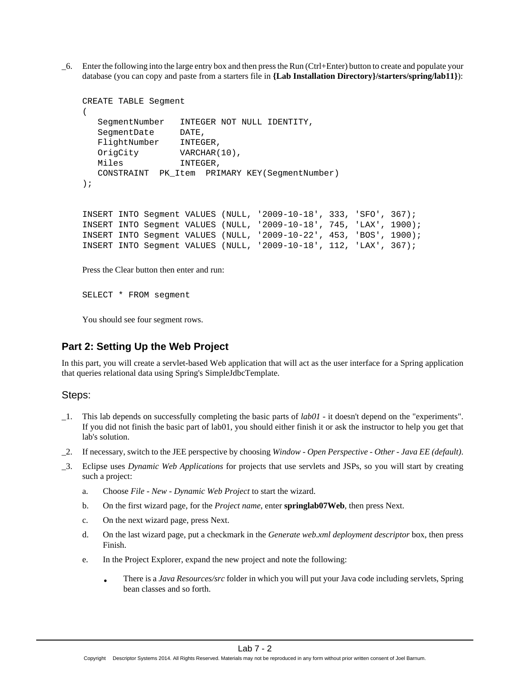\_6. Enter the following into the large entry box and then press the Run (Ctrl+Enter) button to create and populate your database (you can copy and paste from a starters file in **{Lab Installation Directory}/starters/spring/lab11}**):

```
CREATE TABLE Segment
(
   SegmentNumber INTEGER NOT NULL IDENTITY,
   SegmentDate DATE,
   FlightNumber INTEGER,
   OrigCity VARCHAR(10),
   Miles INTEGER,
   CONSTRAINT PK_Item PRIMARY KEY(SegmentNumber)
);
INSERT INTO Segment VALUES (NULL, '2009-10-18', 333, 'SFO', 367);
INSERT INTO Segment VALUES (NULL, '2009-10-18', 745, 'LAX', 1900);
INSERT INTO Segment VALUES (NULL, '2009-10-22', 453, 'BOS', 1900);
INSERT INTO Segment VALUES (NULL, '2009-10-18', 112, 'LAX', 367);
```
Press the Clear button then enter and run:

SELECT \* FROM segment

You should see four segment rows.

## **Part 2: Setting Up the Web Project**

In this part, you will create a servlet-based Web application that will act as the user interface for a Spring application that queries relational data using Spring's SimpleJdbcTemplate.

#### Steps:

- \_1. This lab depends on successfully completing the basic parts of *lab01* it doesn't depend on the "experiments". If you did not finish the basic part of lab01, you should either finish it or ask the instructor to help you get that lab's solution.
- \_2. If necessary, switch to the JEE perspective by choosing *Window Open Perspective Other Java EE (default)*.
- \_3. Eclipse uses *Dynamic Web Applications* for projects that use servlets and JSPs, so you will start by creating such a project:
	- a. Choose *File New Dynamic Web Project* to start the wizard.
	- b. On the first wizard page, for the *Project name*, enter **springlab07Web**, then press Next.
	- c. On the next wizard page, press Next.
	- d. On the last wizard page, put a checkmark in the *Generate web.xml deployment descriptor* box, then press Finish.
	- e. In the Project Explorer, expand the new project and note the following:
		- There is a *Java Resources/src* folder in which you will put your Java code including servlets, Spring bean classes and so forth.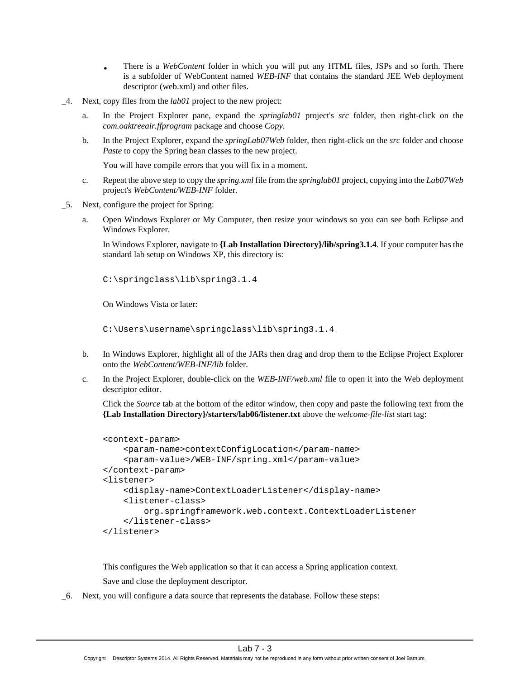- There is a *WebContent* folder in which you will put any HTML files, JSPs and so forth. There is a subfolder of WebContent named *WEB-INF* that contains the standard JEE Web deployment descriptor (web.xml) and other files.
- \_4. Next, copy files from the *lab01* project to the new project:
	- a. In the Project Explorer pane, expand the *springlab01* project's *src* folder, then right-click on the *com.oaktreeair.ffprogram* package and choose *Copy*.
	- b. In the Project Explorer, expand the *springLab07Web* folder, then right-click on the *src* folder and choose *Paste* to copy the Spring bean classes to the new project.

You will have compile errors that you will fix in a moment.

- c. Repeat the above step to copy the *spring.xml* file from the *springlab01* project, copying into the *Lab07Web* project's *WebContent/WEB-INF* folder.
- \_5. Next, configure the project for Spring:
	- a. Open Windows Explorer or My Computer, then resize your windows so you can see both Eclipse and Windows Explorer.

In Windows Explorer, navigate to **{Lab Installation Directory}/lib/spring3.1.4**. If your computer has the standard lab setup on Windows XP, this directory is:

C:\springclass\lib\spring3.1.4

On Windows Vista or later:

C:\Users\username\springclass\lib\spring3.1.4

- b. In Windows Explorer, highlight all of the JARs then drag and drop them to the Eclipse Project Explorer onto the *WebContent/WEB-INF/lib* folder.
- c. In the Project Explorer, double-click on the *WEB-INF/web.xml* file to open it into the Web deployment descriptor editor.

Click the *Source* tab at the bottom of the editor window, then copy and paste the following text from the **{Lab Installation Directory}/starters/lab06/listener.txt** above the *welcome-file-list* start tag:

```
<context-param>
     <param-name>contextConfigLocation</param-name>
     <param-value>/WEB-INF/spring.xml</param-value>
</context-param>
<listener>
     <display-name>ContextLoaderListener</display-name>
     <listener-class>
         org.springframework.web.context.ContextLoaderListener
     </listener-class>
</listener>
```
This configures the Web application so that it can access a Spring application context. Save and close the deployment descriptor.

\_6. Next, you will configure a data source that represents the database. Follow these steps: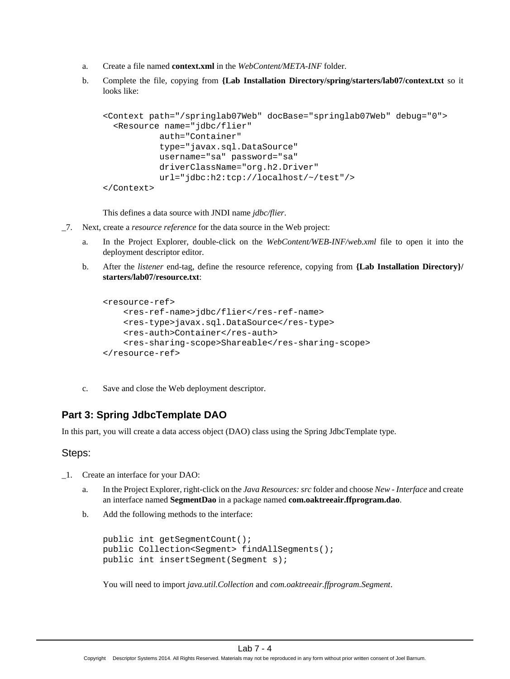- a. Create a file named **context.xml** in the *WebContent/META-INF* folder.
- b. Complete the file, copying from **{Lab Installation Directory/spring/starters/lab07/context.txt** so it looks like:

```
<Context path="/springlab07Web" docBase="springlab07Web" debug="0">
   <Resource name="jdbc/flier" 
            auth="Container"
            type="javax.sql.DataSource"
            username="sa" password="sa"
            driverClassName="org.h2.Driver"
            url="jdbc:h2:tcp://localhost/~/test"/>
</Context>
```
This defines a data source with JNDI name *jdbc/flier*.

- \_7. Next, create a *resource reference* for the data source in the Web project:
	- a. In the Project Explorer, double-click on the *WebContent/WEB-INF/web.xml* file to open it into the deployment descriptor editor.
	- b. After the *listener* end-tag, define the resource reference, copying from **{Lab Installation Directory}/ starters/lab07/resource.txt**:

```
<resource-ref>
     <res-ref-name>jdbc/flier</res-ref-name>
     <res-type>javax.sql.DataSource</res-type>
     <res-auth>Container</res-auth>
     <res-sharing-scope>Shareable</res-sharing-scope>
</resource-ref>
```
c. Save and close the Web deployment descriptor.

## **Part 3: Spring JdbcTemplate DAO**

In this part, you will create a data access object (DAO) class using the Spring JdbcTemplate type.

#### Steps:

- \_1. Create an interface for your DAO:
	- a. In the Project Explorer, right-click on the *Java Resources: src* folder and choose *New Interface* and create an interface named **SegmentDao** in a package named **com.oaktreeair.ffprogram.dao**.
	- b. Add the following methods to the interface:

```
public int getSegmentCount();
public Collection<Segment> findAllSegments();
public int insertSegment(Segment s);
```
You will need to import *java.util.Collection* and *com.oaktreeair.ffprogram.Segment*.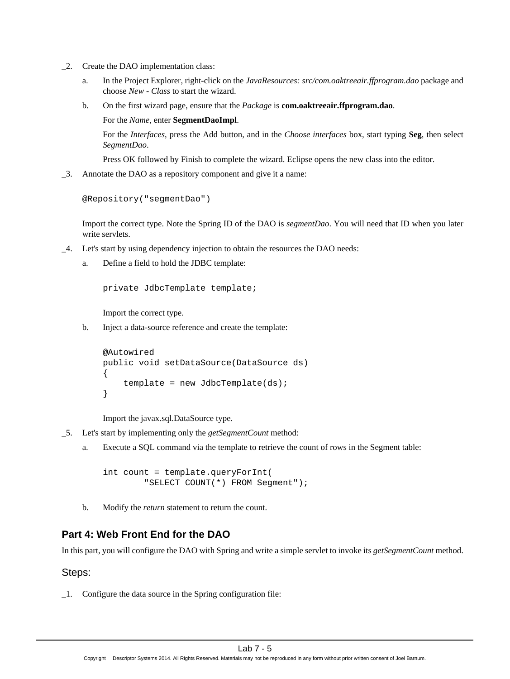- \_2. Create the DAO implementation class:
	- a. In the Project Explorer, right-click on the *JavaResources: src/com.oaktreeair.ffprogram.dao* package and choose *New - Class* to start the wizard.
	- b. On the first wizard page, ensure that the *Package* is **com.oaktreeair.ffprogram.dao**.
		- For the *Name*, enter **SegmentDaoImpl**.

For the *Interfaces*, press the Add button, and in the *Choose interfaces* box, start typing **Seg**, then select *SegmentDao*.

Press OK followed by Finish to complete the wizard. Eclipse opens the new class into the editor.

\_3. Annotate the DAO as a repository component and give it a name:

```
@Repository("segmentDao")
```
Import the correct type. Note the Spring ID of the DAO is *segmentDao*. You will need that ID when you later write servlets.

- \_4. Let's start by using dependency injection to obtain the resources the DAO needs:
	- a. Define a field to hold the JDBC template:

private JdbcTemplate template;

Import the correct type.

b. Inject a data-source reference and create the template:

```
@Autowired
public void setDataSource(DataSource ds)
{
    template = new JdbcTemplate(ds);
}
```
Import the javax.sql.DataSource type.

- \_5. Let's start by implementing only the *getSegmentCount* method:
	- a. Execute a SQL command via the template to retrieve the count of rows in the Segment table:

int count = template.queryForInt( "SELECT COUNT(\*) FROM Segment");

b. Modify the *return* statement to return the count.

## **Part 4: Web Front End for the DAO**

In this part, you will configure the DAO with Spring and write a simple servlet to invoke its *getSegmentCount* method.

#### Steps:

\_1. Configure the data source in the Spring configuration file: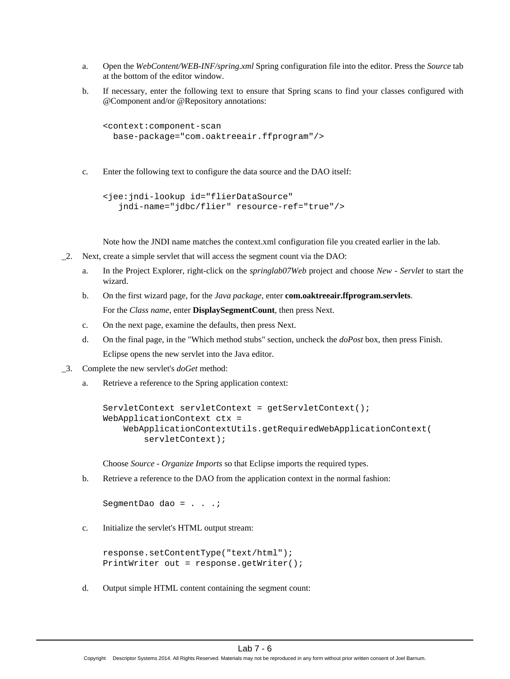- a. Open the *WebContent/WEB-INF/spring.xml* Spring configuration file into the editor. Press the *Source* tab at the bottom of the editor window.
- b. If necessary, enter the following text to ensure that Spring scans to find your classes configured with @Component and/or @Repository annotations:

```
<context:component-scan 
   base-package="com.oaktreeair.ffprogram"/>
```
c. Enter the following text to configure the data source and the DAO itself:

```
<jee:jndi-lookup id="flierDataSource" 
    jndi-name="jdbc/flier" resource-ref="true"/>
```
Note how the JNDI name matches the context.xml configuration file you created earlier in the lab.

- \_2. Next, create a simple servlet that will access the segment count via the DAO:
	- a. In the Project Explorer, right-click on the *springlab07Web* project and choose *New Servlet* to start the wizard.
	- b. On the first wizard page, for the *Java package*, enter **com.oaktreeair.ffprogram.servlets**. For the *Class name*, enter **DisplaySegmentCount**, then press Next.
	- c. On the next page, examine the defaults, then press Next.
	- d. On the final page, in the "Which method stubs" section, uncheck the *doPost* box, then press Finish. Eclipse opens the new servlet into the Java editor.
- \_3. Complete the new servlet's *doGet* method:
	- a. Retrieve a reference to the Spring application context:

```
ServletContext servletContext = getServletContext();
WebApplicationContext ctx = 
     WebApplicationContextUtils.getRequiredWebApplicationContext(
         servletContext);
```
Choose *Source - Organize Imports* so that Eclipse imports the required types.

b. Retrieve a reference to the DAO from the application context in the normal fashion:

SegmentDao dao = . . .;

c. Initialize the servlet's HTML output stream:

```
response.setContentType("text/html");
PrintWriter out = response.getWriter();
```
d. Output simple HTML content containing the segment count: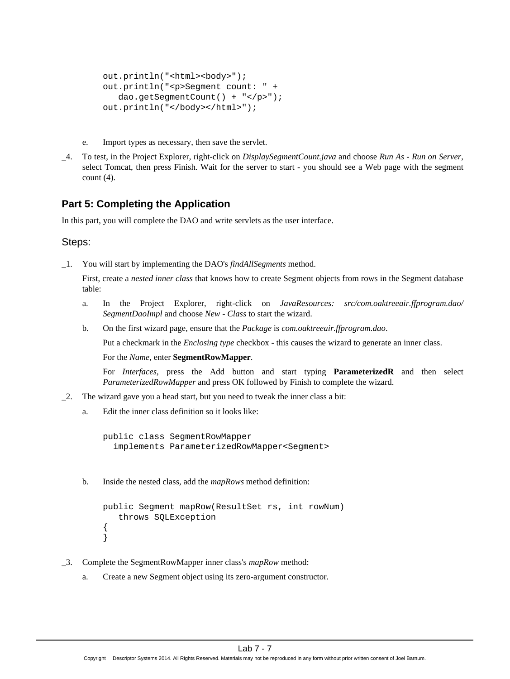```
out.println("<html><br/>>body>");
out.println("<p>Segment count: " + 
    dao.getSegmentCount() + "</p>");
out.println("</body></html>");
```
- e. Import types as necessary, then save the servlet.
- \_4. To test, in the Project Explorer, right-click on *DisplaySegmentCount.java* and choose *Run As Run on Server*, select Tomcat, then press Finish. Wait for the server to start - you should see a Web page with the segment count  $(4)$ .

#### **Part 5: Completing the Application**

In this part, you will complete the DAO and write servlets as the user interface.

#### Steps:

\_1. You will start by implementing the DAO's *findAllSegments* method.

First, create a *nested inner class* that knows how to create Segment objects from rows in the Segment database table:

- a. In the Project Explorer, right-click on *JavaResources: src/com.oaktreeair.ffprogram.dao/ SegmentDaoImpl* and choose *New - Class* to start the wizard.
- b. On the first wizard page, ensure that the *Package* is *com.oaktreeair.ffprogram.dao*.

Put a checkmark in the *Enclosing type* checkbox - this causes the wizard to generate an inner class.

For the *Name*, enter **SegmentRowMapper**.

For *Interfaces*, press the Add button and start typing **ParameterizedR** and then select *ParameterizedRowMapper* and press OK followed by Finish to complete the wizard.

- \_2. The wizard gave you a head start, but you need to tweak the inner class a bit:
	- a. Edit the inner class definition so it looks like:

public class SegmentRowMapper implements ParameterizedRowMapper<Segment>

b. Inside the nested class, add the *mapRows* method definition:

```
public Segment mapRow(ResultSet rs, int rowNum)
    throws SQLException
{
}
```
- \_3. Complete the SegmentRowMapper inner class's *mapRow* method:
	- a. Create a new Segment object using its zero-argument constructor.